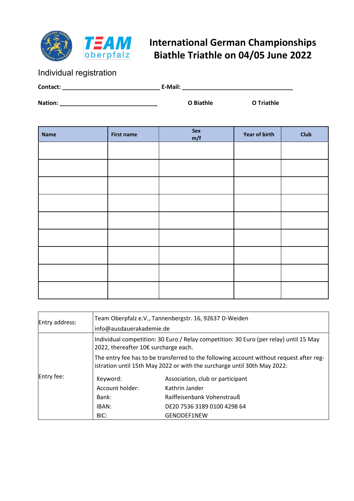

## **International German Championships Biathle Triathle on 04/05 June 2022**

Individual registration

| Contact: | E-Mail:   |            |
|----------|-----------|------------|
| Nation:  | O Biathle | O Triathle |

| <b>Name</b> | <b>First name</b> | Sex<br>m/f | Year of birth | <b>Club</b> |
|-------------|-------------------|------------|---------------|-------------|
|             |                   |            |               |             |
|             |                   |            |               |             |
|             |                   |            |               |             |
|             |                   |            |               |             |
|             |                   |            |               |             |
|             |                   |            |               |             |
|             |                   |            |               |             |
|             |                   |            |               |             |
|             |                   |            |               |             |

| Entry address: | Team Oberpfalz e.V., Tannenbergstr. 16, 92637 D-Weiden<br>info@ausdauerakademie.de                                                                                  |                                  |  |
|----------------|---------------------------------------------------------------------------------------------------------------------------------------------------------------------|----------------------------------|--|
|                | Individual competition: 30 Euro / Relay competition: 30 Euro (per relay) until 15 May<br>2022, thereafter 10€ surcharge each.                                       |                                  |  |
|                | The entry fee has to be transferred to the following account without request after reg-<br>istration until 15th May 2022 or with the surcharge until 30th May 2022: |                                  |  |
| Entry fee:     | Keyword:                                                                                                                                                            | Association, club or participant |  |
|                | Account holder:                                                                                                                                                     | Kathrin Jander                   |  |
|                | Bank:                                                                                                                                                               | Raiffeisenbank Vohenstrauß       |  |
|                | IBAN:                                                                                                                                                               | DE20 7536 3189 0100 4298 64      |  |
|                | BIC:                                                                                                                                                                | <b>GENODEF1NEW</b>               |  |